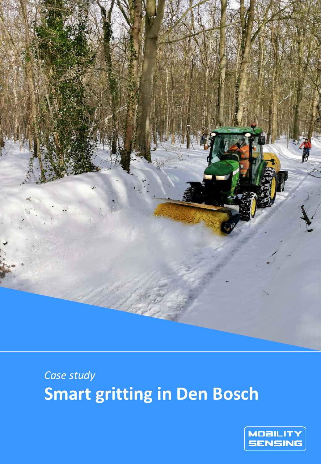

# *Case study* **Smart gritting in Den Bosch**

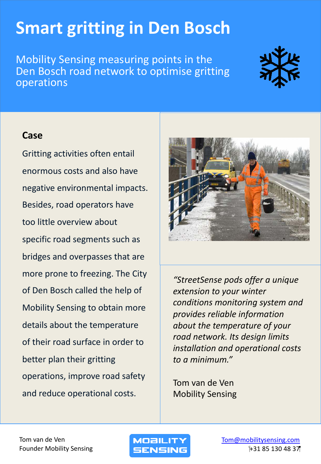# **Smart gritting in Den Bosch**

Mobility Sensing measuring points in the Den Bosch road network to optimise gritting operations

### **Case**

Gritting activities often entail enormous costs and also have negative environmental impacts. Besides, road operators have too little overview about specific road segments such as bridges and overpasses that are more prone to freezing. The City of Den Bosch called the help of Mobility Sensing to obtain more details about the temperature of their road surface in order to better plan their gritting operations, improve road safety and reduce operational costs.



*"StreetSense pods offer a unique extension to your winter conditions monitoring system and provides reliable information about the temperature of your road network. Its design limits installation and operational costs to a minimum."*

Tom van de Ven Mobility Sensing

Tom van de Ven Founder Mobility Sensing